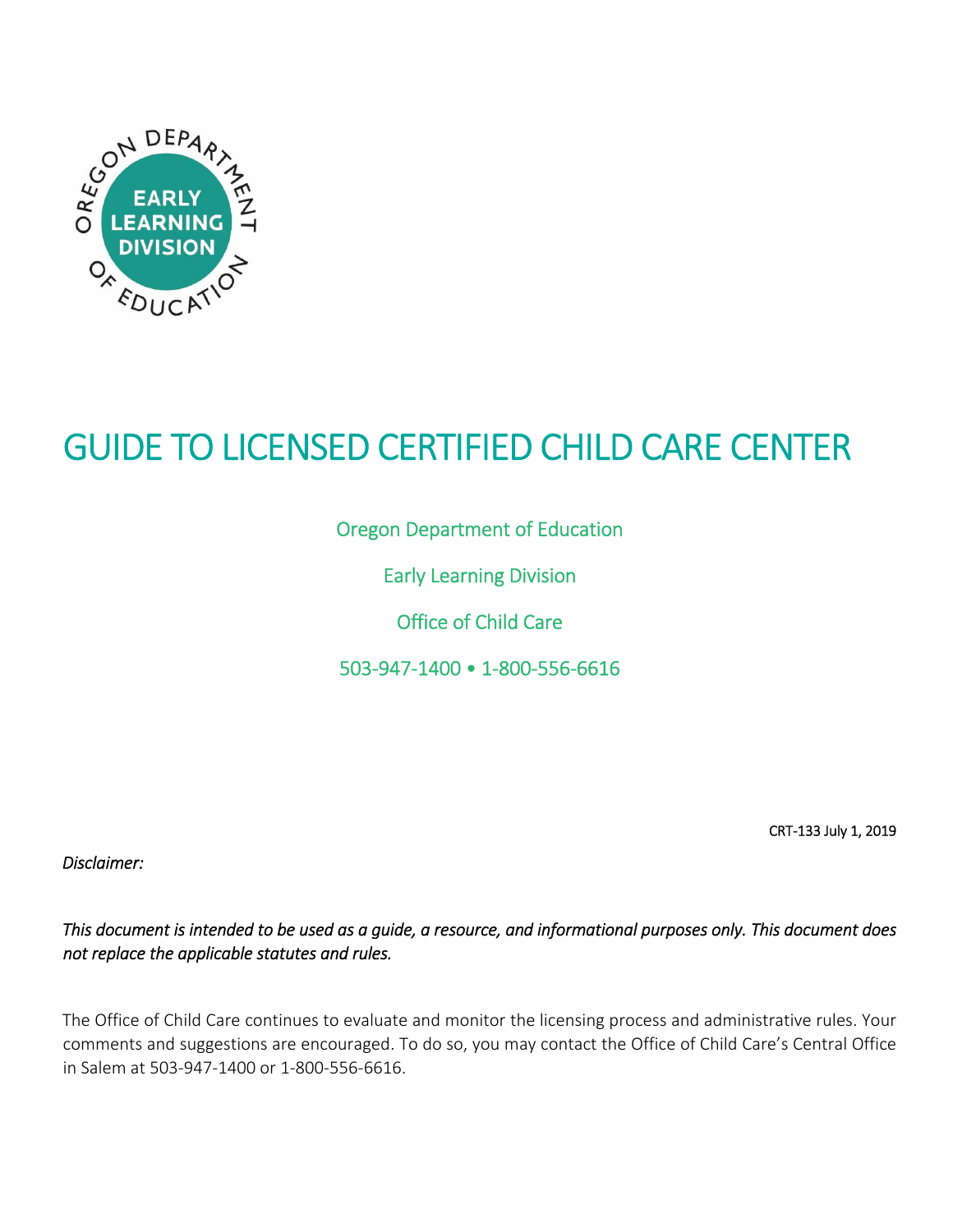

# GUIDE TO LICENSED CERTIFIED CHILD CARE CENTER

Oregon Department of Education

Early Learning Division

Office of Child Care

503‐947‐1400 • 1‐800‐556‐6616

CRT‐133 July 1, 2019

*Disclaimer:* 

*This document is intended to be used as a guide, a resource, and informational purposes only. This document does not replace the applicable statutes and rules.* 

The Office of Child Care continues to evaluate and monitor the licensing process and administrative rules. Your comments and suggestions are encouraged. To do so, you may contact the Office of Child Care's Central Office in Salem at 503‐947‐1400 or 1‐800‐556‐6616.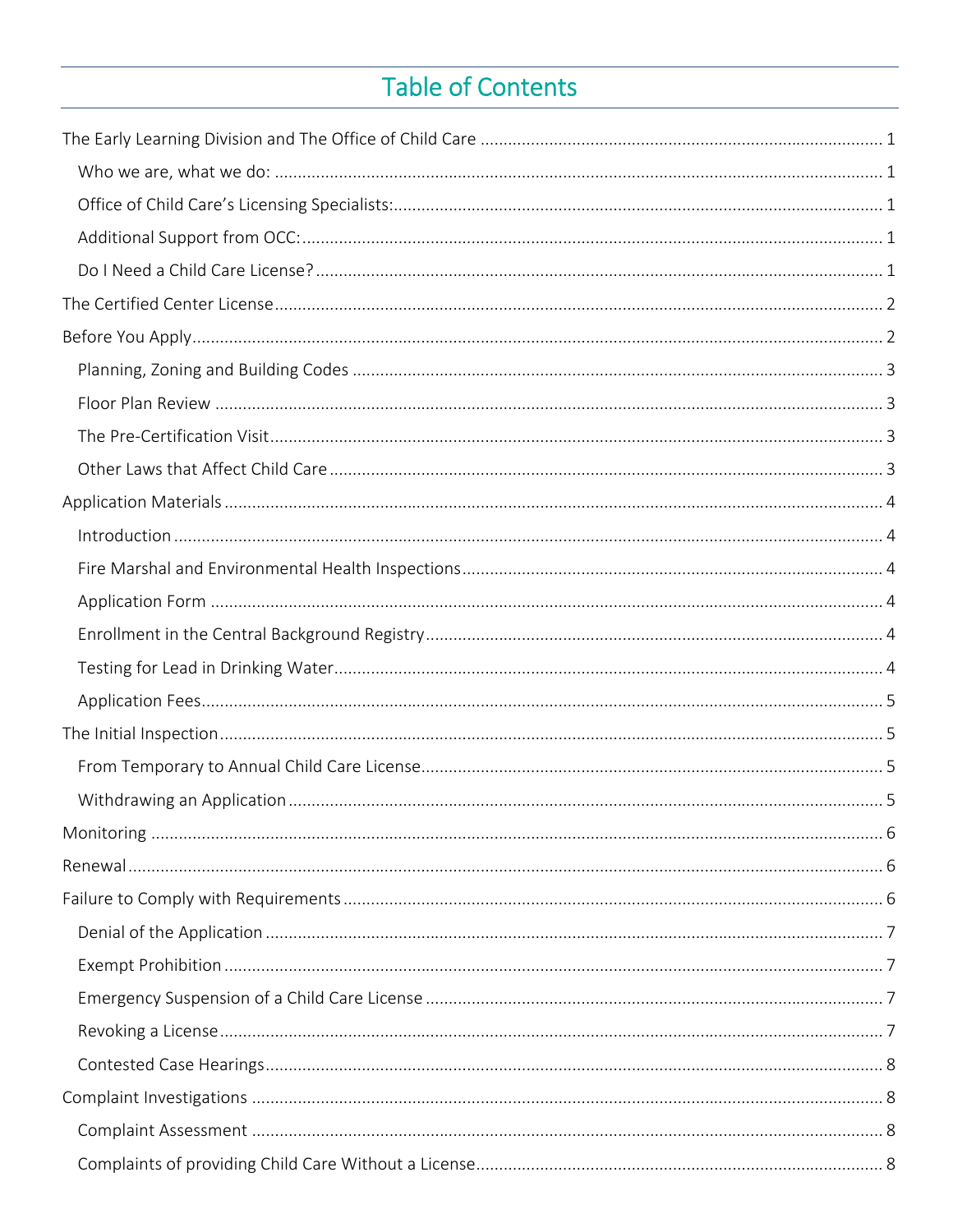## Table of Contents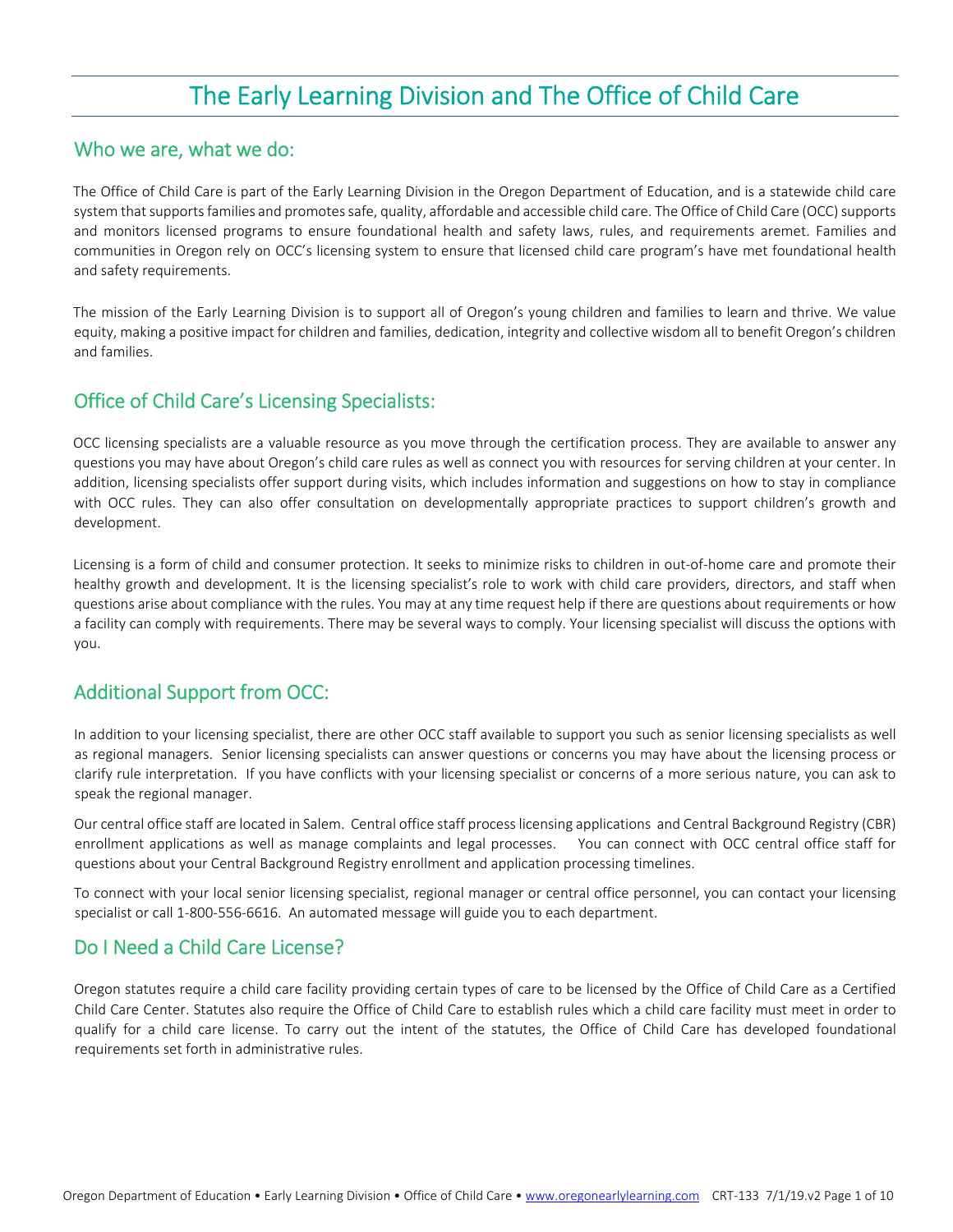## The Early Learning Division and The Office of Child Care

#### Who we are, what we do:

The Office of Child Care is part of the Early Learning Division in the Oregon Department of Education, and is a statewide child care system that supports families and promotes safe, quality, affordable and accessible child care. The Office of Child Care (OCC) supports and monitors licensed programs to ensure foundational health and safety laws, rules, and requirements aremet. Families and communities in Oregon rely on OCC's licensing system to ensure that licensed child care program's have met foundational health and safety requirements.

The mission of the Early Learning Division is to support all of Oregon's young children and families to learn and thrive. We value equity, making a positive impact for children and families, dedication, integrity and collective wisdom all to benefit Oregon's children and families. 

#### Office of Child Care's Licensing Specialists:

OCC licensing specialists are a valuable resource as you move through the certification process. They are available to answer any questions you may have about Oregon's child care rules as well as connect you with resources for serving children at your center. In addition, licensing specialists offer support during visits, which includes information and suggestions on how to stay in compliance with OCC rules. They can also offer consultation on developmentally appropriate practices to support children's growth and development.

Licensing is a form of child and consumer protection. It seeks to minimize risks to children in out‐of‐home care and promote their healthy growth and development. It is the licensing specialist's role to work with child care providers, directors, and staff when questions arise about compliance with the rules. You may at any time request help if there are questions about requirements or how a facility can comply with requirements. There may be several ways to comply. Your licensing specialist will discuss the options with you.

#### Additional Support from OCC:

In addition to your licensing specialist, there are other OCC staff available to support you such as senior licensing specialists as well as regional managers. Senior licensing specialists can answer questions or concerns you may have about the licensing process or clarify rule interpretation. If you have conflicts with your licensing specialist or concerns of a more serious nature, you can ask to speak the regional manager.

Our central office staff are located in Salem. Central office staff process licensing applications and Central Background Registry (CBR) enrollment applications as well as manage complaints and legal processes. You can connect with OCC central office staff for questions about your Central Background Registry enrollment and application processing timelines.

To connect with your local senior licensing specialist, regional manager or central office personnel, you can contact your licensing specialist or call 1‐800‐556‐6616. An automated message will guide you to each department.

#### Do I Need a Child Care License?

Oregon statutes require a child care facility providing certain types of care to be licensed by the Office of Child Care as a Certified Child Care Center. Statutes also require the Office of Child Care to establish rules which a child care facility must meet in order to qualify for a child care license. To carry out the intent of the statutes, the Office of Child Care has developed foundational requirements set forth in administrative rules.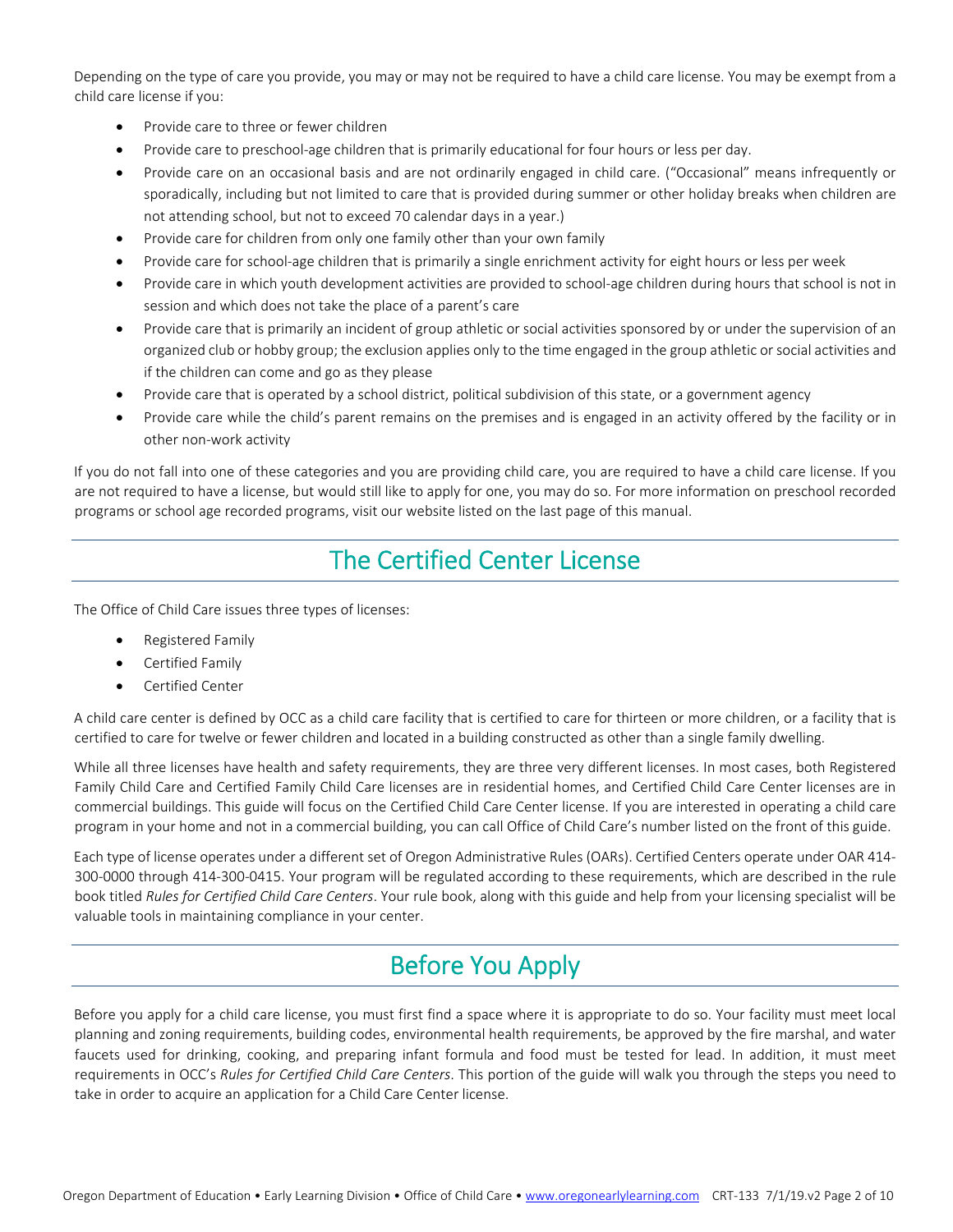Depending on the type of care you provide, you may or may not be required to have a child care license. You may be exempt from a child care license if you:

- Provide care to three or fewer children
- Provide care to preschool-age children that is primarily educational for four hours or less per day.
- Provide care on an occasional basis and are not ordinarily engaged in child care. ("Occasional" means infrequently or sporadically, including but not limited to care that is provided during summer or other holiday breaks when children are not attending school, but not to exceed 70 calendar days in a year.)
- Provide care for children from only one family other than your own family
- Provide care for school-age children that is primarily a single enrichment activity for eight hours or less per week
- Provide care in which youth development activities are provided to school-age children during hours that school is not in session and which does not take the place of a parent's care
- Provide care that is primarily an incident of group athletic or social activities sponsored by or under the supervision of an organized club or hobby group; the exclusion applies only to the time engaged in the group athletic or social activities and if the children can come and go as they please
- Provide care that is operated by a school district, political subdivision of this state, or a government agency
- Provide care while the child's parent remains on the premises and is engaged in an activity offered by the facility or in other non‐work activity

If you do not fall into one of these categories and you are providing child care, you are required to have a child care license. If you are not required to have a license, but would still like to apply for one, you may do so. For more information on preschool recorded programs or school age recorded programs, visit our website listed on the last page of this manual.

## The Certified Center License

The Office of Child Care issues three types of licenses:

- Registered Family
- Certified Family
- Certified Center

A child care center is defined by OCC as a child care facility that is certified to care for thirteen or more children, or a facility that is certified to care for twelve or fewer children and located in a building constructed as other than a single family dwelling.

While all three licenses have health and safety requirements, they are three very different licenses. In most cases, both Registered Family Child Care and Certified Family Child Care licenses are in residential homes, and Certified Child Care Center licenses are in commercial buildings. This guide will focus on the Certified Child Care Center license. If you are interested in operating a child care program in your home and not in a commercial building, you can call Office of Child Care's number listed on the front of this guide.

Each type of license operates under a different set of Oregon Administrative Rules (OARs). Certified Centers operate under OAR 414‐ 300‐0000 through 414‐300‐0415. Your program will be regulated according to these requirements, which are described in the rule book titled *Rules for Certified Child Care Centers*. Your rule book, along with this guide and help from your licensing specialist will be valuable tools in maintaining compliance in your center.

## Before You Apply

Before you apply for a child care license, you must first find a space where it is appropriate to do so. Your facility must meet local planning and zoning requirements, building codes, environmental health requirements, be approved by the fire marshal, and water faucets used for drinking, cooking, and preparing infant formula and food must be tested for lead. In addition, it must meet requirements in OCC's *Rules for Certified Child Care Centers*. This portion of the guide will walk you through the steps you need to take in order to acquire an application for a Child Care Center license.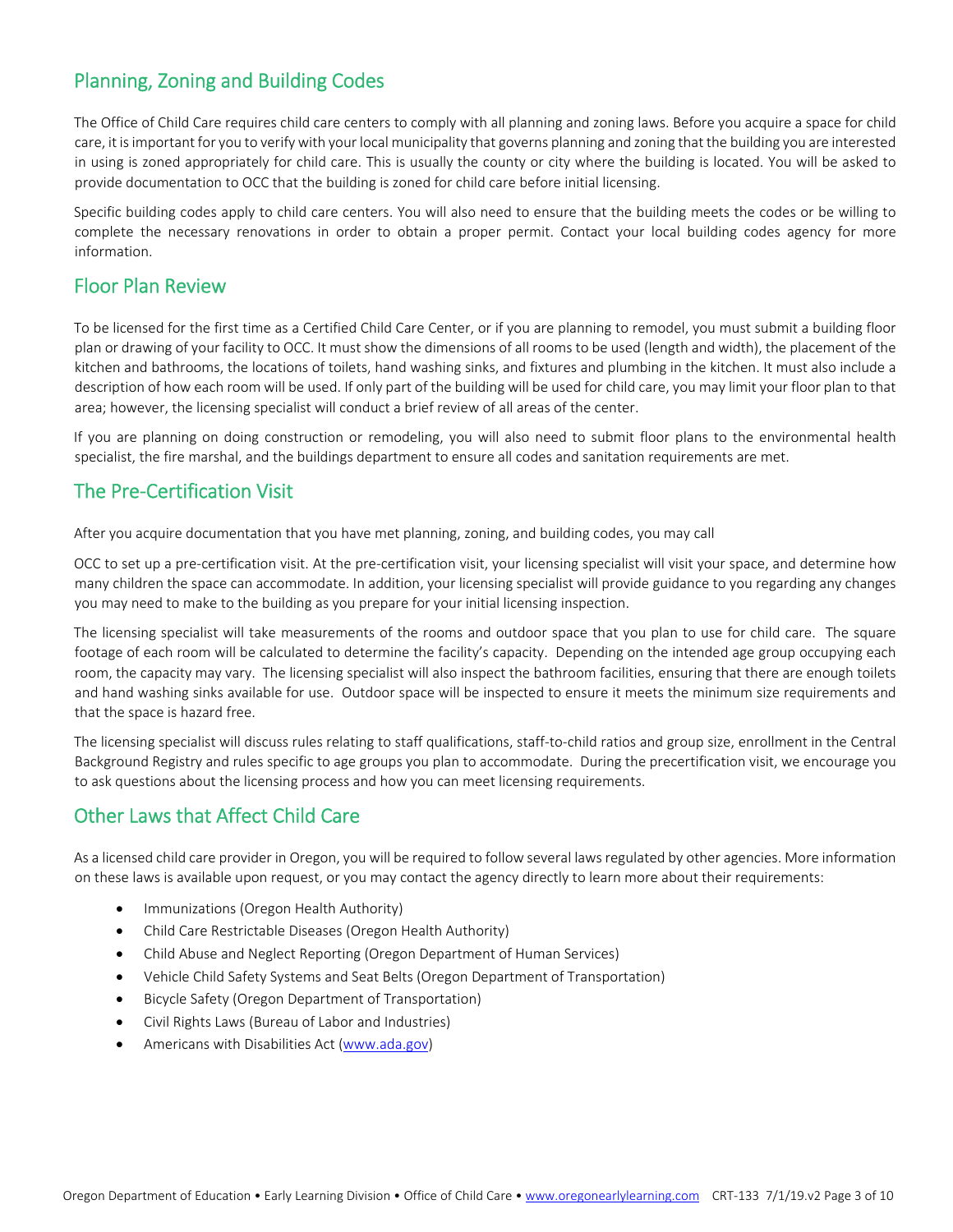### Planning, Zoning and Building Codes

The Office of Child Care requires child care centers to comply with all planning and zoning laws. Before you acquire a space for child care, it is important for you to verify with your local municipality that governs planning and zoning that the building you are interested in using is zoned appropriately for child care. This is usually the county or city where the building is located. You will be asked to provide documentation to OCC that the building is zoned for child care before initial licensing.

Specific building codes apply to child care centers. You will also need to ensure that the building meets the codes or be willing to complete the necessary renovations in order to obtain a proper permit. Contact your local building codes agency for more information.

#### Floor Plan Review

To be licensed for the first time as a Certified Child Care Center, or if you are planning to remodel, you must submit a building floor plan or drawing of your facility to OCC. It must show the dimensions of all rooms to be used (length and width), the placement of the kitchen and bathrooms, the locations of toilets, hand washing sinks, and fixtures and plumbing in the kitchen. It must also include a description of how each room will be used. If only part of the building will be used for child care, you may limit your floor plan to that area; however, the licensing specialist will conduct a brief review of all areas of the center.

If you are planning on doing construction or remodeling, you will also need to submit floor plans to the environmental health specialist, the fire marshal, and the buildings department to ensure all codes and sanitation requirements are met. 

#### The Pre‐Certification Visit

After you acquire documentation that you have met planning, zoning, and building codes, you may call

OCC to set up a pre‐certification visit. At the pre‐certification visit, your licensing specialist will visit your space, and determine how many children the space can accommodate. In addition, your licensing specialist will provide guidance to you regarding any changes you may need to make to the building as you prepare for your initial licensing inspection.

The licensing specialist will take measurements of the rooms and outdoor space that you plan to use for child care. The square footage of each room will be calculated to determine the facility's capacity. Depending on the intended age group occupying each room, the capacity may vary. The licensing specialist will also inspect the bathroom facilities, ensuring that there are enough toilets and hand washing sinks available for use. Outdoor space will be inspected to ensure it meets the minimum size requirements and that the space is hazard free.

The licensing specialist will discuss rules relating to staff qualifications, staff-to-child ratios and group size, enrollment in the Central Background Registry and rules specific to age groups you plan to accommodate. During the precertification visit, we encourage you to ask questions about the licensing process and how you can meet licensing requirements.

#### Other Laws that Affect Child Care

As a licensed child care provider in Oregon, you will be required to follow several laws regulated by other agencies. More information on these laws is available upon request, or you may contact the agency directly to learn more about their requirements:

- Immunizations (Oregon Health Authority)
- Child Care Restrictable Diseases (Oregon Health Authority)
- Child Abuse and Neglect Reporting (Oregon Department of Human Services)
- Vehicle Child Safety Systems and Seat Belts (Oregon Department of Transportation)
- Bicycle Safety (Oregon Department of Transportation)
- Civil Rights Laws (Bureau of Labor and Industries)
- Americans with Disabilities Act (www.ada.gov)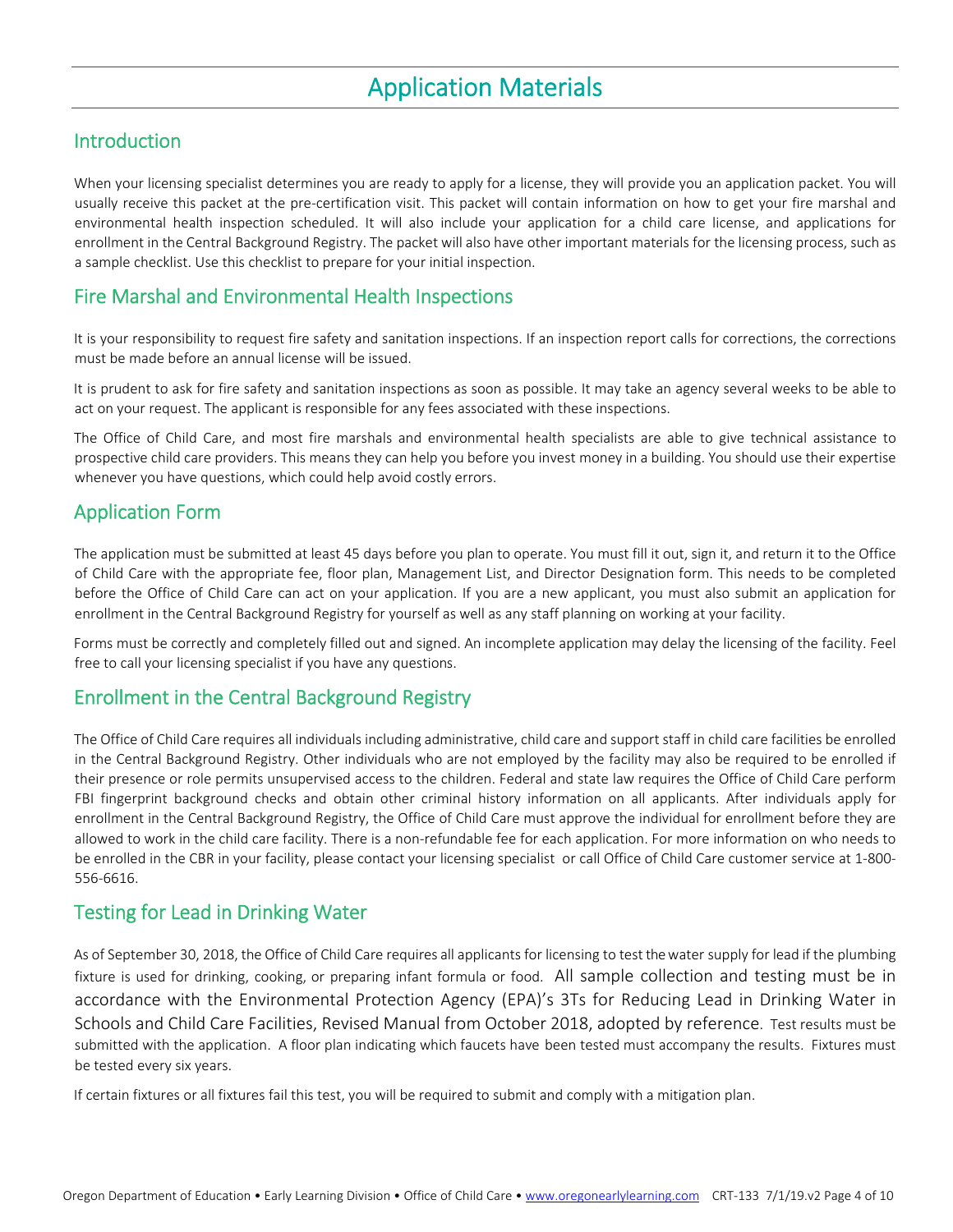## Application Materials

#### Introduction

When your licensing specialist determines you are ready to apply for a license, they will provide you an application packet. You will usually receive this packet at the pre‐certification visit. This packet will contain information on how to get your fire marshal and environmental health inspection scheduled. It will also include your application for a child care license, and applications for enrollment in the Central Background Registry. The packet will also have other important materials for the licensing process, such as a sample checklist. Use this checklist to prepare for your initial inspection.

#### Fire Marshal and Environmental Health Inspections

It is your responsibility to request fire safety and sanitation inspections. If an inspection report calls for corrections, the corrections must be made before an annual license will be issued.

It is prudent to ask for fire safety and sanitation inspections as soon as possible. It may take an agency several weeks to be able to act on your request. The applicant is responsible for any fees associated with these inspections.

The Office of Child Care, and most fire marshals and environmental health specialists are able to give technical assistance to prospective child care providers. This means they can help you before you invest money in a building. You should use their expertise whenever you have questions, which could help avoid costly errors.

### Application Form

The application must be submitted at least 45 days before you plan to operate. You must fill it out, sign it, and return it to the Office of Child Care with the appropriate fee, floor plan, Management List, and Director Designation form. This needs to be completed before the Office of Child Care can act on your application. If you are a new applicant, you must also submit an application for enrollment in the Central Background Registry for yourself as well as any staff planning on working at your facility.

Forms must be correctly and completely filled out and signed. An incomplete application may delay the licensing of the facility. Feel free to call your licensing specialist if you have any questions.

#### Enrollment in the Central Background Registry

The Office of Child Care requires all individuals including administrative, child care and support staff in child care facilities be enrolled in the Central Background Registry. Other individuals who are not employed by the facility may also be required to be enrolled if their presence or role permits unsupervised access to the children. Federal and state law requires the Office of Child Care perform FBI fingerprint background checks and obtain other criminal history information on all applicants. After individuals apply for enrollment in the Central Background Registry, the Office of Child Care must approve the individual for enrollment before they are allowed to work in the child care facility. There is a non‐refundable fee for each application. For more information on who needs to be enrolled in the CBR in your facility, please contact your licensing specialist or call Office of Child Care customer service at 1-800-556‐6616.

### Testing for Lead in Drinking Water

As of September 30, 2018, the Office of Child Care requires all applicants for licensing to test the water supply for lead if the plumbing fixture is used for drinking, cooking, or preparing infant formula or food. All sample collection and testing must be in accordance with the Environmental Protection Agency (EPA)'s 3Ts for Reducing Lead in Drinking Water in Schools and Child Care Facilities, Revised Manual from October 2018, adopted by reference. Test results must be submitted with the application. A floor plan indicating which faucets have been tested must accompany the results. Fixtures must be tested every six years.

If certain fixtures or all fixtures fail this test, you will be required to submit and comply with a mitigation plan.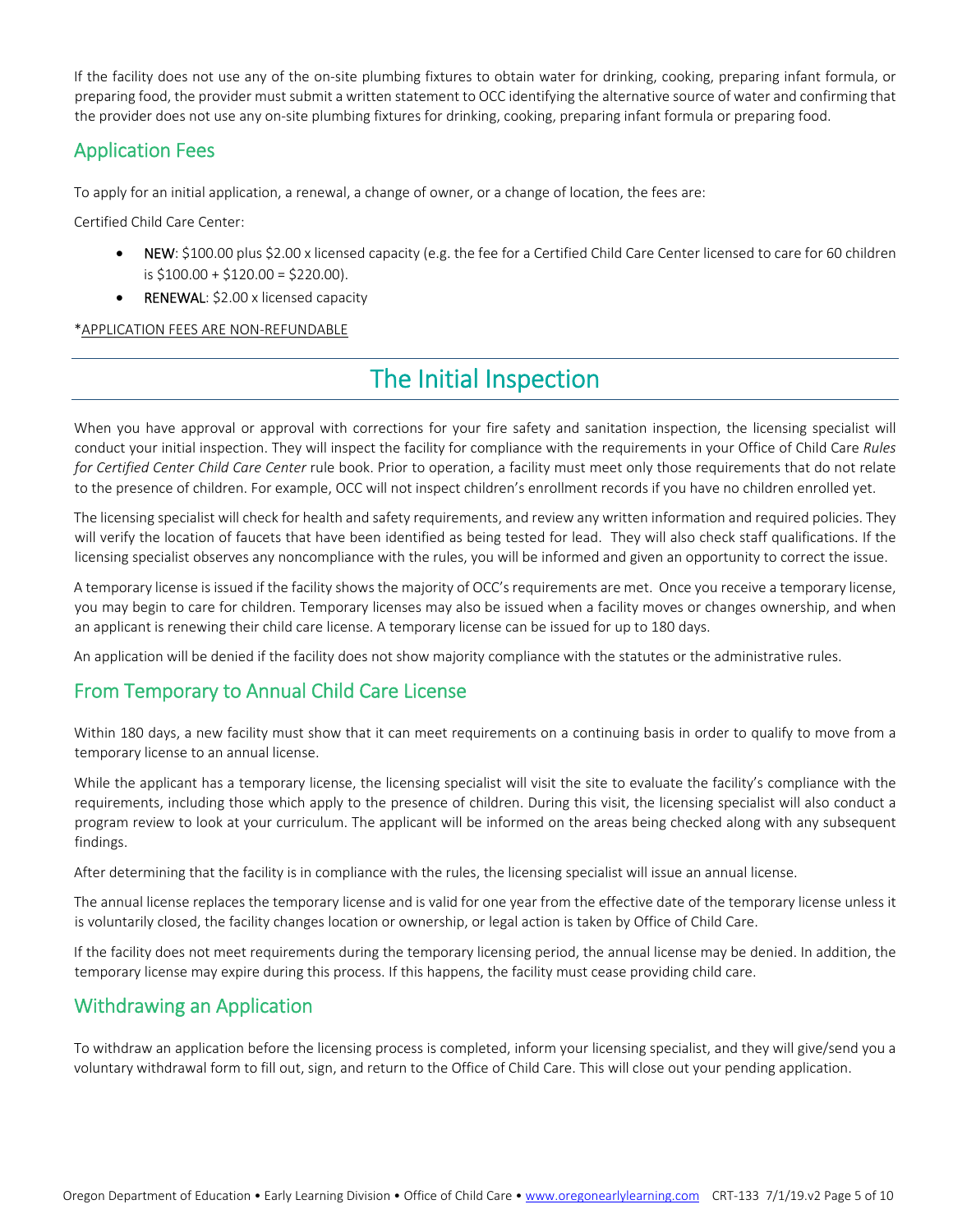If the facility does not use any of the on-site plumbing fixtures to obtain water for drinking, cooking, preparing infant formula, or preparing food, the provider must submit a written statement to OCC identifying the alternative source of water and confirming that the provider does not use any on‐site plumbing fixtures for drinking, cooking, preparing infant formula or preparing food.

### Application Fees

To apply for an initial application, a renewal, a change of owner, or a change of location, the fees are:

Certified Child Care Center:

- NEW: \$100.00 plus \$2.00 x licensed capacity (e.g. the fee for a Certified Child Care Center licensed to care for 60 children is \$100.00 + \$120.00 = \$220.00).
- RENEWAL: \$2.00 x licensed capacity

\*APPLICATION FEES ARE NON‐REFUNDABLE

## The Initial Inspection

When you have approval or approval with corrections for your fire safety and sanitation inspection, the licensing specialist will conduct your initial inspection. They will inspect the facility for compliance with the requirements in your Office of Child Care *Rules for Certified Center Child Care Center* rule book. Prior to operation, a facility must meet only those requirements that do not relate to the presence of children. For example, OCC will not inspect children's enrollment records if you have no children enrolled yet.

The licensing specialist will check for health and safety requirements, and review any written information and required policies. They will verify the location of faucets that have been identified as being tested for lead. They will also check staff qualifications. If the licensing specialist observes any noncompliance with the rules, you will be informed and given an opportunity to correct the issue.

A temporary license is issued if the facility shows the majority of OCC's requirements are met. Once you receive a temporary license, you may begin to care for children. Temporary licenses may also be issued when a facility moves or changes ownership, and when an applicant is renewing their child care license. A temporary license can be issued for up to 180 days.

An application will be denied if the facility does not show majority compliance with the statutes or the administrative rules.

### From Temporary to Annual Child Care License

Within 180 days, a new facility must show that it can meet requirements on a continuing basis in order to qualify to move from a temporary license to an annual license.

While the applicant has a temporary license, the licensing specialist will visit the site to evaluate the facility's compliance with the requirements, including those which apply to the presence of children. During this visit, the licensing specialist will also conduct a program review to look at your curriculum. The applicant will be informed on the areas being checked along with any subsequent findings.

After determining that the facility is in compliance with the rules, the licensing specialist will issue an annual license.

The annual license replaces the temporary license and is valid for one year from the effective date of the temporary license unless it is voluntarily closed, the facility changes location or ownership, or legal action is taken by Office of Child Care.

If the facility does not meet requirements during the temporary licensing period, the annual license may be denied. In addition, the temporary license may expire during this process. If this happens, the facility must cease providing child care.

### Withdrawing an Application

To withdraw an application before the licensing process is completed, inform your licensing specialist, and they will give/send you a voluntary withdrawal form to fill out, sign, and return to the Office of Child Care. This will close out your pending application.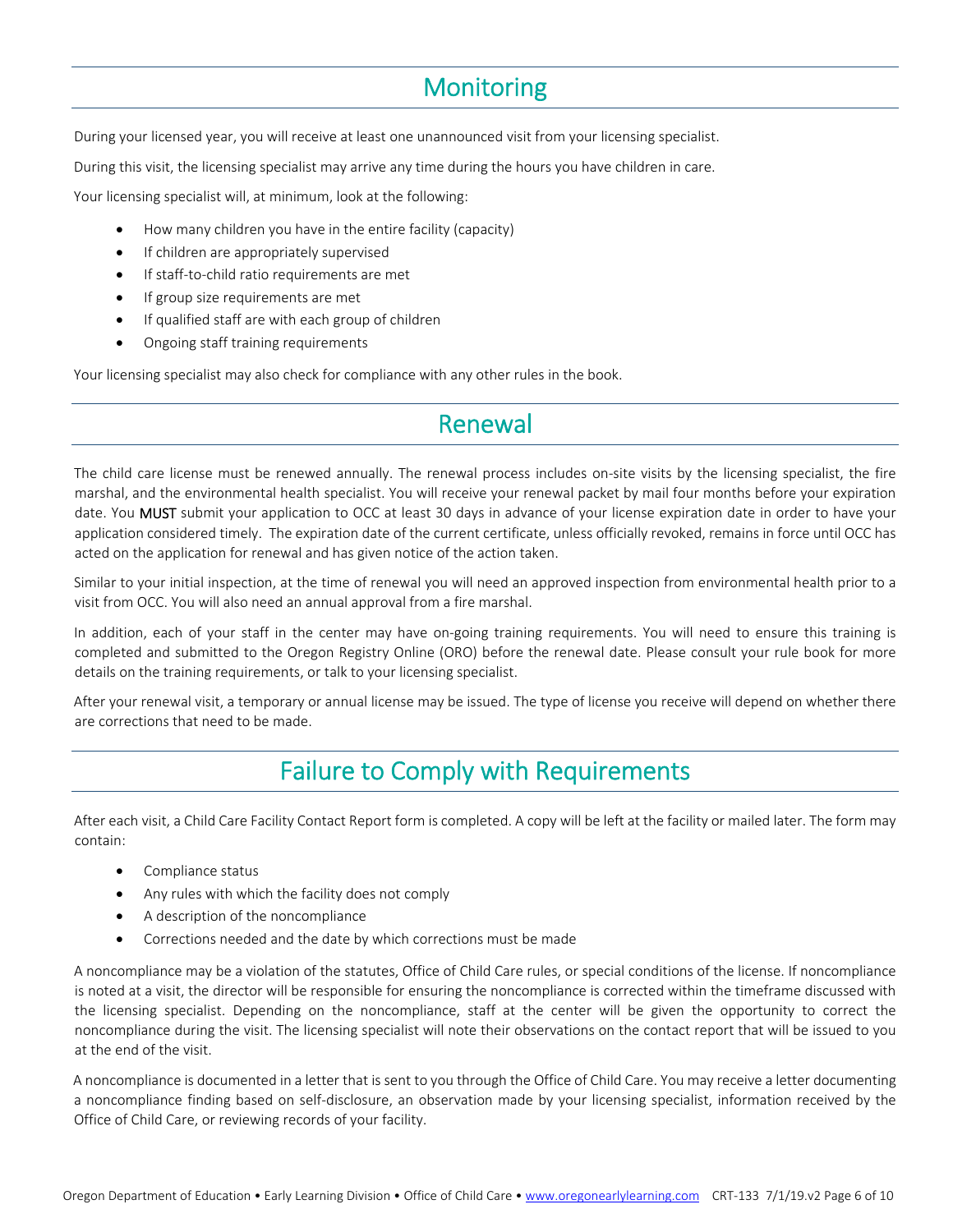## **Monitoring**

During your licensed year, you will receive at least one unannounced visit from your licensing specialist.

During this visit, the licensing specialist may arrive any time during the hours you have children in care.

Your licensing specialist will, at minimum, look at the following:

- How many children you have in the entire facility (capacity)
- **•** If children are appropriately supervised
- If staff‐to‐child ratio requirements are met
- **•** If group size requirements are met
- If qualified staff are with each group of children
- Ongoing staff training requirements

Your licensing specialist may also check for compliance with any other rules in the book.

### Renewal

The child care license must be renewed annually. The renewal process includes on-site visits by the licensing specialist, the fire marshal, and the environmental health specialist. You will receive your renewal packet by mail four months before your expiration date. You MUST submit your application to OCC at least 30 days in advance of your license expiration date in order to have your application considered timely. The expiration date of the current certificate, unless officially revoked, remains in force until OCC has acted on the application for renewal and has given notice of the action taken.

Similar to your initial inspection, at the time of renewal you will need an approved inspection from environmental health prior to a visit from OCC. You will also need an annual approval from a fire marshal.

In addition, each of your staff in the center may have on-going training requirements. You will need to ensure this training is completed and submitted to the Oregon Registry Online (ORO) before the renewal date. Please consult your rule book for more details on the training requirements, or talk to your licensing specialist.

After your renewal visit, a temporary or annual license may be issued. The type of license you receive will depend on whether there are corrections that need to be made.

### Failure to Comply with Requirements

After each visit, a Child Care Facility Contact Report form is completed. A copy will be left at the facility or mailed later. The form may contain:

- Compliance status
- Any rules with which the facility does not comply
- A description of the noncompliance
- Corrections needed and the date by which corrections must be made

A noncompliance may be a violation of the statutes, Office of Child Care rules, or special conditions of the license. If noncompliance is noted at a visit, the director will be responsible for ensuring the noncompliance is corrected within the timeframe discussed with the licensing specialist. Depending on the noncompliance, staff at the center will be given the opportunity to correct the noncompliance during the visit. The licensing specialist will note their observations on the contact report that will be issued to you at the end of the visit.

A noncompliance is documented in a letter that is sent to you through the Office of Child Care. You may receive a letter documenting a noncompliance finding based on self‐disclosure, an observation made by your licensing specialist, information received by the Office of Child Care, or reviewing records of your facility.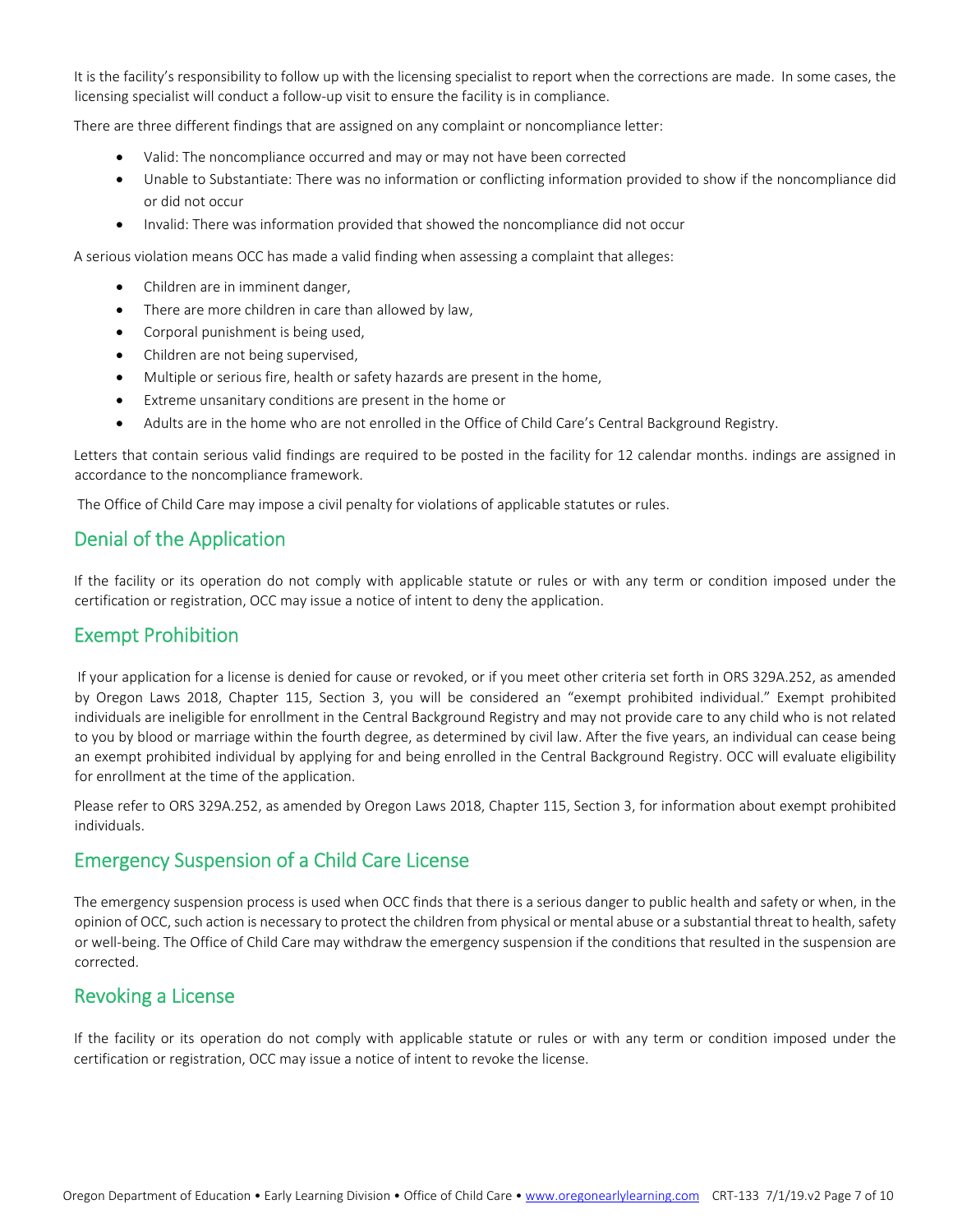It is the facility's responsibility to follow up with the licensing specialist to report when the corrections are made. In some cases, the licensing specialist will conduct a follow‐up visit to ensure the facility is in compliance.

There are three different findings that are assigned on any complaint or noncompliance letter:

- Valid: The noncompliance occurred and may or may not have been corrected
- Unable to Substantiate: There was no information or conflicting information provided to show if the noncompliance did or did not occur
- Invalid: There was information provided that showed the noncompliance did not occur

A serious violation means OCC has made a valid finding when assessing a complaint that alleges:

- Children are in imminent danger,
- There are more children in care than allowed by law,
- Corporal punishment is being used,
- Children are not being supervised,
- Multiple or serious fire, health or safety hazards are present in the home,
- Extreme unsanitary conditions are present in the home or
- Adults are in the home who are not enrolled in the Office of Child Care's Central Background Registry.

Letters that contain serious valid findings are required to be posted in the facility for 12 calendar months. indings are assigned in accordance to the noncompliance framework.

The Office of Child Care may impose a civil penalty for violations of applicable statutes or rules.

#### Denial of the Application

If the facility or its operation do not comply with applicable statute or rules or with any term or condition imposed under the certification or registration, OCC may issue a notice of intent to deny the application.

#### Exempt Prohibition

If your application for a license is denied for cause or revoked, or if you meet other criteria set forth in ORS 329A.252, as amended by Oregon Laws 2018, Chapter 115, Section 3, you will be considered an "exempt prohibited individual." Exempt prohibited individuals are ineligible for enrollment in the Central Background Registry and may not provide care to any child who is not related to you by blood or marriage within the fourth degree, as determined by civil law. After the five years, an individual can cease being an exempt prohibited individual by applying for and being enrolled in the Central Background Registry. OCC will evaluate eligibility for enrollment at the time of the application.

Please refer to ORS 329A.252, as amended by Oregon Laws 2018, Chapter 115, Section 3, for information about exempt prohibited individuals.

#### Emergency Suspension of a Child Care License

The emergency suspension process is used when OCC finds that there is a serious danger to public health and safety or when, in the opinion of OCC, such action is necessary to protect the children from physical or mental abuse or a substantial threat to health, safety or well‐being. The Office of Child Care may withdraw the emergency suspension if the conditions that resulted in the suspension are corrected.

#### Revoking a License

If the facility or its operation do not comply with applicable statute or rules or with any term or condition imposed under the certification or registration, OCC may issue a notice of intent to revoke the license.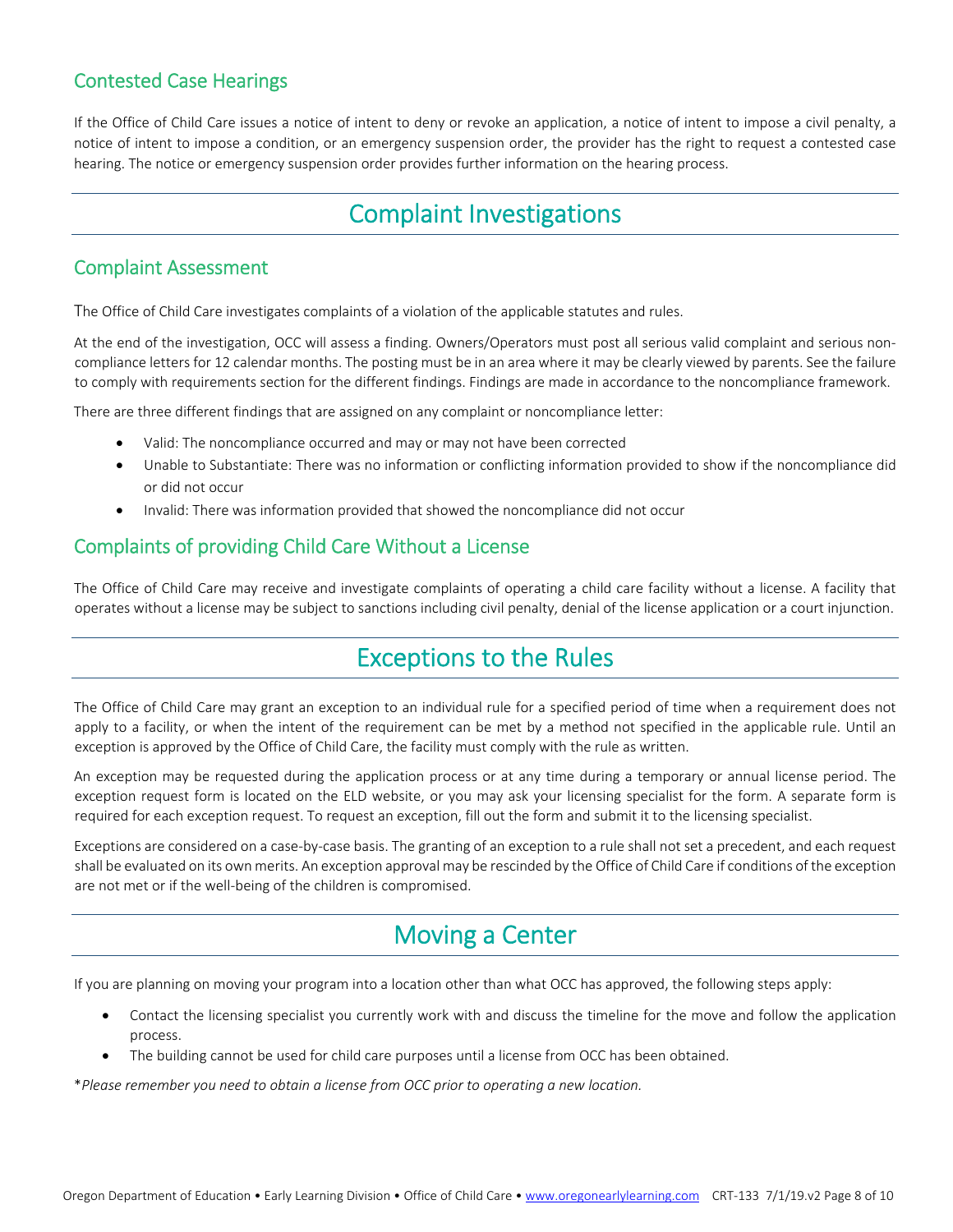### Contested Case Hearings

If the Office of Child Care issues a notice of intent to deny or revoke an application, a notice of intent to impose a civil penalty, a notice of intent to impose a condition, or an emergency suspension order, the provider has the right to request a contested case hearing. The notice or emergency suspension order provides further information on the hearing process.

## Complaint Investigations

#### Complaint Assessment

The Office of Child Care investigates complaints of a violation of the applicable statutes and rules.

At the end of the investigation, OCC will assess a finding. Owners/Operators must post all serious valid complaint and serious non‐ compliance letters for 12 calendar months. The posting must be in an area where it may be clearly viewed by parents. See the failure to comply with requirements section for the different findings. Findings are made in accordance to the noncompliance framework.

There are three different findings that are assigned on any complaint or noncompliance letter:

- Valid: The noncompliance occurred and may or may not have been corrected
- Unable to Substantiate: There was no information or conflicting information provided to show if the noncompliance did or did not occur
- Invalid: There was information provided that showed the noncompliance did not occur

### Complaints of providing Child Care Without a License

The Office of Child Care may receive and investigate complaints of operating a child care facility without a license. A facility that operates without a license may be subject to sanctions including civil penalty, denial of the license application or a court injunction.

## Exceptions to the Rules

The Office of Child Care may grant an exception to an individual rule for a specified period of time when a requirement does not apply to a facility, or when the intent of the requirement can be met by a method not specified in the applicable rule. Until an exception is approved by the Office of Child Care, the facility must comply with the rule as written.

An exception may be requested during the application process or at any time during a temporary or annual license period. The exception request form is located on the ELD website, or you may ask your licensing specialist for the form. A separate form is required for each exception request. To request an exception, fill out the form and submit it to the licensing specialist.

Exceptions are considered on a case-by-case basis. The granting of an exception to a rule shall not set a precedent, and each request shall be evaluated on its own merits. An exception approval may be rescinded by the Office of Child Care if conditions of the exception are not met or if the well‐being of the children is compromised.

## Moving a Center

If you are planning on moving your program into a location other than what OCC has approved, the following steps apply:

- Contact the licensing specialist you currently work with and discuss the timeline for the move and follow the application process.
- The building cannot be used for child care purposes until a license from OCC has been obtained.

\**Please remember you need to obtain a license from OCC prior to operating a new location.*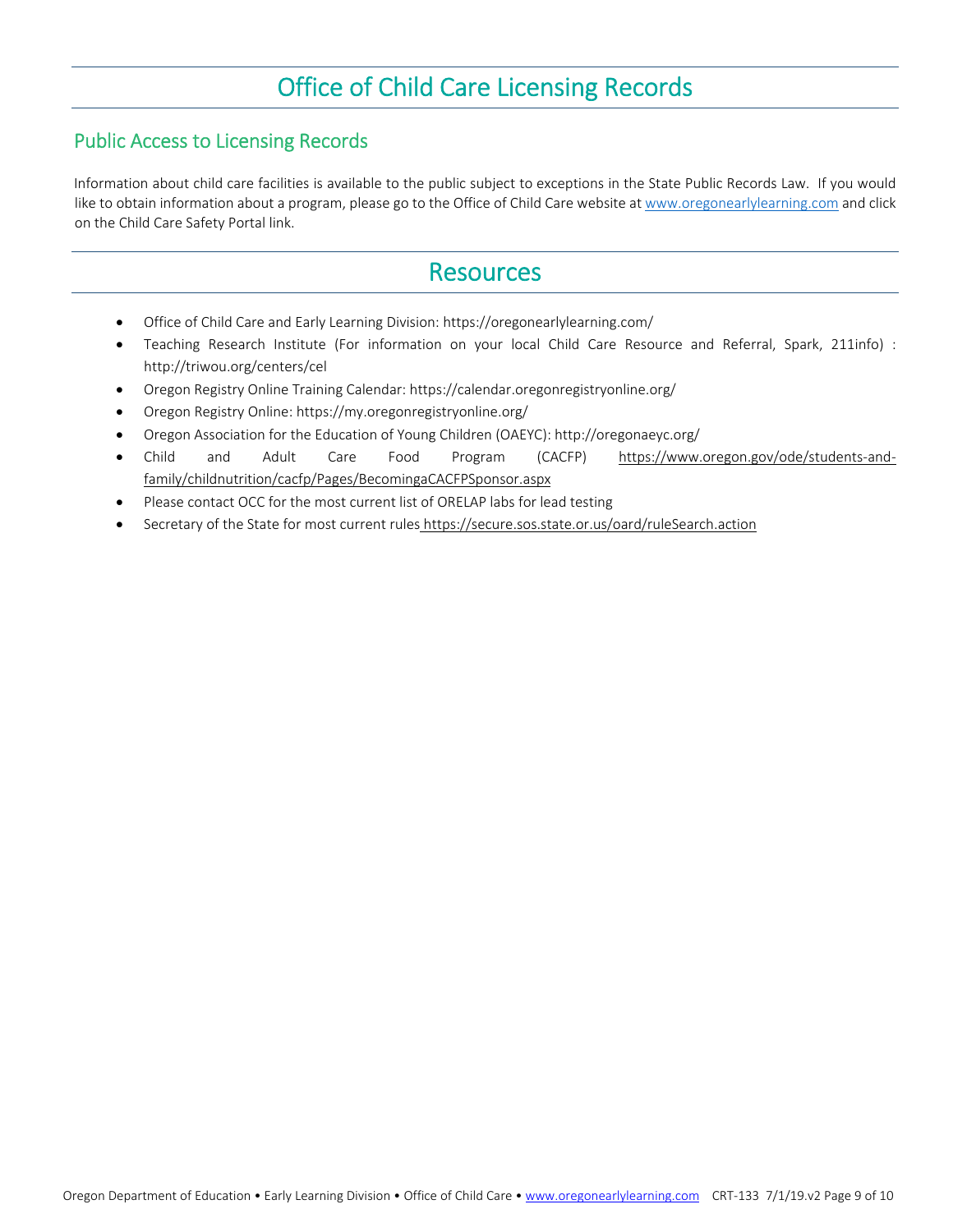## Office of Child Care Licensing Records

#### Public Access to Licensing Records

Information about child care facilities is available to the public subject to exceptions in the State Public Records Law. If you would like to obtain information about a program, please go to the Office of Child Care website at www.oregonearlylearning.com and click on the Child Care Safety Portal link.

### Resources

- Office of Child Care and Early Learning Division: https://oregonearlylearning.com/
- Teaching Research Institute (For information on your local Child Care Resource and Referral, Spark, 211info) : http://triwou.org/centers/cel
- Oregon Registry Online Training Calendar: https://calendar.oregonregistryonline.org/
- Oregon Registry Online: https://my.oregonregistryonline.org/
- Oregon Association for the Education of Young Children (OAEYC): http://oregonaeyc.org/
- Child and Adult Care Food Program (CACFP) https://www.oregon.gov/ode/students‐and‐ family/childnutrition/cacfp/Pages/BecomingaCACFPSponsor.aspx
- Please contact OCC for the most current list of ORELAP labs for lead testing
- Secretary of the State for most current rules https://secure.sos.state.or.us/oard/ruleSearch.action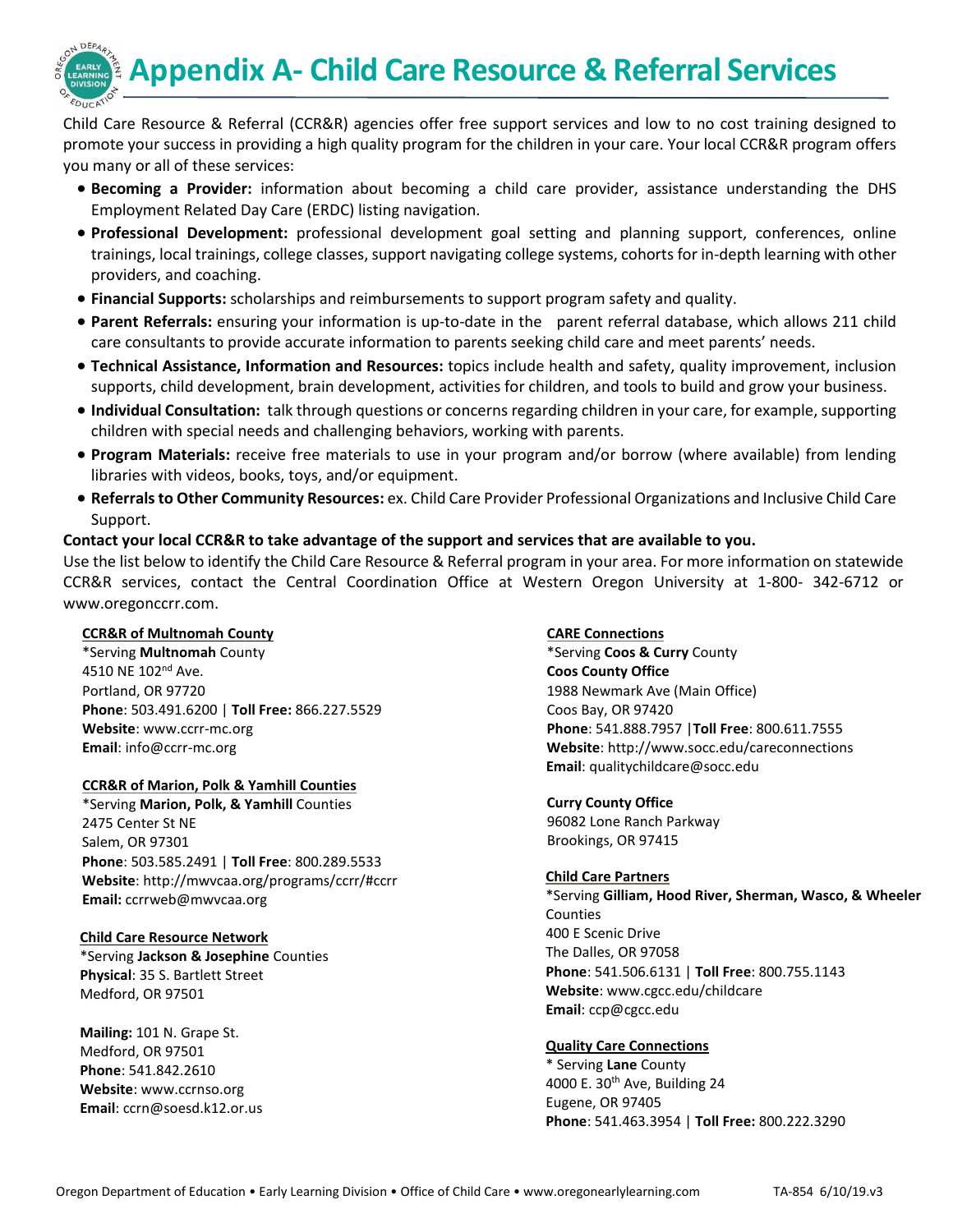**Appendix A- Child Care Resource & Referral Services** 



- **Becoming a Provider:** information about becoming a child care provider, assistance understanding the DHS Employment Related Day Care (ERDC) listing navigation.
- **Professional Development:** professional development goal setting and planning support, conferences, online trainings, local trainings, college classes, support navigating college systems, cohorts for in-depth learning with other providers, and coaching.
- **Financial Supports:** scholarships and reimbursements to support program safety and quality.
- **Parent Referrals:** ensuring your information is up-to-date in the parent referral database, which allows 211 child care consultants to provide accurate information to parents seeking child care and meet parents' needs.
- **Technical Assistance, Information and Resources:** topics include health and safety, quality improvement, inclusion supports, child development, brain development, activities for children, and tools to build and grow your business.
- **Individual Consultation:** talk through questions or concerns regarding children in your care, for example, supporting children with special needs and challenging behaviors, working with parents.
- **Program Materials:** receive free materials to use in your program and/or borrow (where available) from lending libraries with videos, books, toys, and/or equipment.
- **Referrals to Other Community Resources:** ex. Child Care Provider Professional Organizations and Inclusive Child Care Support.

### **Contact your local CCR&R to take advantage of the support and services that are available to you.**

Use the list below to identify the Child Care Resource & Referral program in your area. For more information on statewide CCR&R services, contact the Central Coordination Office at Western Oregon University at 1-800- 342-6712 or [www.oregonccrr.com.](http://www.oregonccrr.com/)

#### **CCR&R of Multnomah County**

DEPA

\*Serving **Multnomah** County 4510 NE 102<sup>nd</sup> Ave. Portland, OR 97720 **Phone**: 503.491.6200 | **Toll Free:** 866.227.5529 **Website**: www.ccrr-mc.org **Email**: info@ccrr-mc.org

#### **CCR&R of Marion, Polk & Yamhill Counties**

\*Serving **Marion, Polk, & Yamhill** Counties 2475 Center St NE Salem, OR 97301 **Phone**: 503.585.2491 | **Toll Free**: 800.289.5533 **Website**:<http://mwvcaa.org/programs/ccrr/#ccrr> **Email:** [ccrrweb@mwvcaa.org](mailto:ccrrweb@mwvcaa.org)

#### **Child Care Resource Network**

\*Serving **Jackson & Josephine** Counties **Physical**: 35 S. Bartlett Street Medford, OR 97501

**Mailing:** 101 N. Grape St. Medford, OR 97501 **Phone**: 541.842.2610 **Website**[: www.ccrnso.org](http://www.ccrnso.org/)  **Email**: [ccrn@soesd.k12.or.us](mailto:ccrn@soesd.k12.or.us)

#### **CARE Connections**

\*Serving **Coos & Curry** County **Coos County Office** 1988 Newmark Ave (Main Office) Coos Bay, OR 97420 **Phone**: 541.888.7957 |**Toll Free**: 800.611.7555 **Website**[: http://www.socc.edu/careconnections](http://www.socc.edu/careconnections) **Email**: qualitychildcare@socc.edu

#### **Curry County Office**

96082 Lone Ranch Parkway Brookings, OR 97415

#### **Child Care Partners**

\*Serving **Gilliam, Hood River, Sherman, Wasco, & Wheeler** Counties 400 E Scenic Drive The Dalles, OR 97058 **Phone**: 541.506.6131 | **Toll Free**: 800.755.1143 **Website**: [www.cgcc.edu/childcare](http://www.cgcc.edu/childcare) **Email**[: ccp@cgcc.edu](mailto:ccp@cgcc.edu)

#### **Quality Care Connections**

\* Serving **Lane** County 4000 E.  $30<sup>th</sup>$  Ave, Building 24 Eugene, OR 97405 **Phone**: 541.463.3954 | **Toll Free:** 800.222.3290